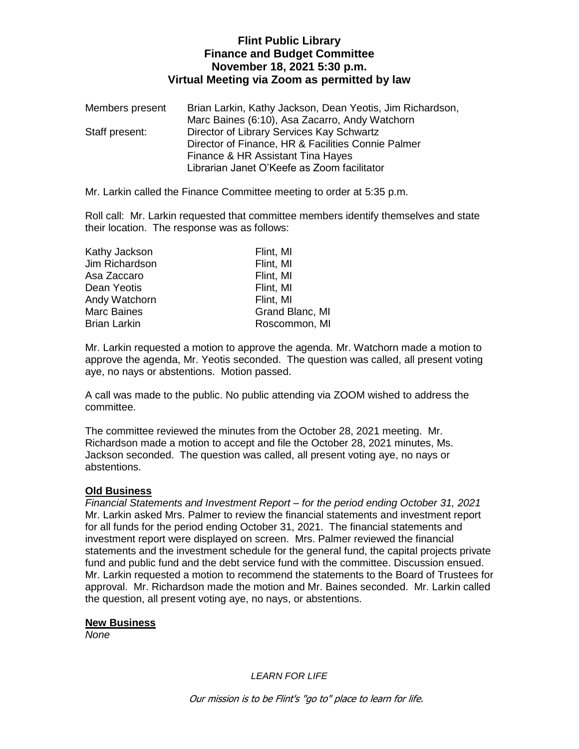## **Flint Public Library Finance and Budget Committee November 18, 2021 5:30 p.m. Virtual Meeting via Zoom as permitted by law**

| Members present | Brian Larkin, Kathy Jackson, Dean Yeotis, Jim Richardson, |
|-----------------|-----------------------------------------------------------|
|                 | Marc Baines (6:10), Asa Zacarro, Andy Watchorn            |
| Staff present:  | Director of Library Services Kay Schwartz                 |
|                 | Director of Finance, HR & Facilities Connie Palmer        |
|                 | Finance & HR Assistant Tina Hayes                         |
|                 | Librarian Janet O'Keefe as Zoom facilitator               |

Mr. Larkin called the Finance Committee meeting to order at 5:35 p.m.

Roll call: Mr. Larkin requested that committee members identify themselves and state their location. The response was as follows:

| Kathy Jackson       | Flint, MI       |
|---------------------|-----------------|
| Jim Richardson      | Flint, MI       |
| Asa Zaccaro         | Flint, MI       |
| Dean Yeotis         | Flint, MI       |
| Andy Watchorn       | Flint, MI       |
| <b>Marc Baines</b>  | Grand Blanc, MI |
| <b>Brian Larkin</b> | Roscommon, MI   |

Mr. Larkin requested a motion to approve the agenda. Mr. Watchorn made a motion to approve the agenda, Mr. Yeotis seconded. The question was called, all present voting aye, no nays or abstentions. Motion passed.

A call was made to the public. No public attending via ZOOM wished to address the committee.

The committee reviewed the minutes from the October 28, 2021 meeting. Mr. Richardson made a motion to accept and file the October 28, 2021 minutes, Ms. Jackson seconded. The question was called, all present voting aye, no nays or abstentions.

#### **Old Business**

*Financial Statements and Investment Report – for the period ending October 31, 2021* Mr. Larkin asked Mrs. Palmer to review the financial statements and investment report for all funds for the period ending October 31, 2021. The financial statements and investment report were displayed on screen. Mrs. Palmer reviewed the financial statements and the investment schedule for the general fund, the capital projects private fund and public fund and the debt service fund with the committee. Discussion ensued. Mr. Larkin requested a motion to recommend the statements to the Board of Trustees for approval. Mr. Richardson made the motion and Mr. Baines seconded. Mr. Larkin called the question, all present voting aye, no nays, or abstentions.

#### **New Business**

*None*

*LEARN FOR LIFE*

Our mission is to be Flint's "go to" place to learn for life.